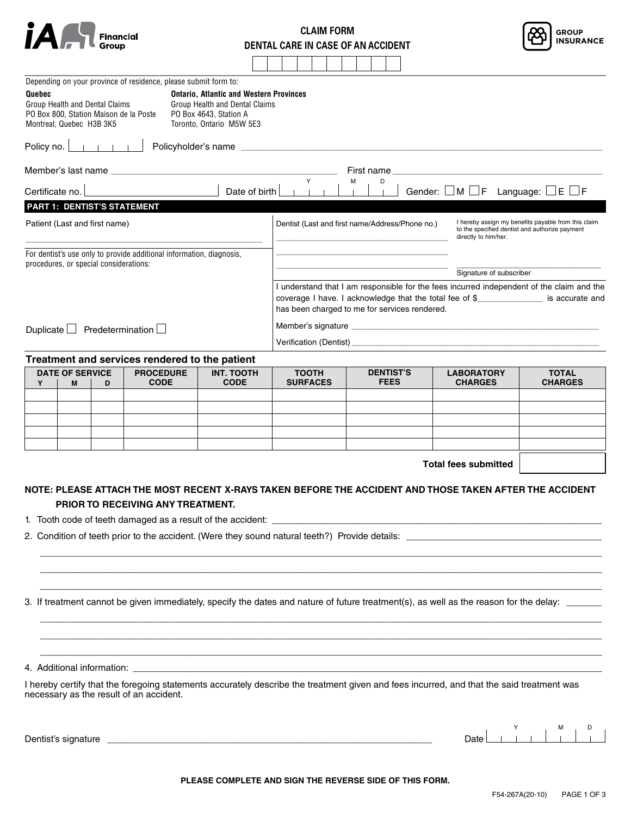|  | Financial<br>Group |
|--|--------------------|
|--|--------------------|

| <b>CLAIM FORM</b>                  |
|------------------------------------|
| DENTAL CARE IN CASE OF AN ACCIDENT |



| Treatment and services rendered to the patient                       |                                                                                           |                                                                                                   |                                                         |                                                                                                                               |                                               |                                                                                                                                                                                                       |  |
|----------------------------------------------------------------------|-------------------------------------------------------------------------------------------|---------------------------------------------------------------------------------------------------|---------------------------------------------------------|-------------------------------------------------------------------------------------------------------------------------------|-----------------------------------------------|-------------------------------------------------------------------------------------------------------------------------------------------------------------------------------------------------------|--|
|                                                                      |                                                                                           |                                                                                                   |                                                         |                                                                                                                               |                                               |                                                                                                                                                                                                       |  |
| Predetermination $\Box$<br>Duplicate $\Box$                          |                                                                                           |                                                                                                   |                                                         |                                                                                                                               |                                               |                                                                                                                                                                                                       |  |
|                                                                      |                                                                                           |                                                                                                   |                                                         |                                                                                                                               |                                               |                                                                                                                                                                                                       |  |
|                                                                      |                                                                                           |                                                                                                   | coverage I have. I acknowledge that the total fee of \$ |                                                                                                                               |                                               |                                                                                                                                                                                                       |  |
|                                                                      | I understand that I am responsible for the fees incurred independent of the claim and the |                                                                                                   |                                                         |                                                                                                                               |                                               |                                                                                                                                                                                                       |  |
|                                                                      |                                                                                           |                                                                                                   |                                                         |                                                                                                                               |                                               |                                                                                                                                                                                                       |  |
| For dentist's use only to provide additional information, diagnosis, |                                                                                           |                                                                                                   |                                                         |                                                                                                                               |                                               |                                                                                                                                                                                                       |  |
|                                                                      | Dentist (Last and first name/Address/Phone no.)                                           |                                                                                                   |                                                         | I hereby assign my benefits payable from this claim<br>to the specified dentist and authorize payment<br>directly to him/her. |                                               |                                                                                                                                                                                                       |  |
|                                                                      |                                                                                           |                                                                                                   |                                                         |                                                                                                                               |                                               |                                                                                                                                                                                                       |  |
|                                                                      |                                                                                           |                                                                                                   |                                                         |                                                                                                                               |                                               |                                                                                                                                                                                                       |  |
|                                                                      | Y                                                                                         | м<br>D                                                                                            |                                                         |                                                                                                                               |                                               |                                                                                                                                                                                                       |  |
|                                                                      |                                                                                           |                                                                                                   |                                                         |                                                                                                                               |                                               |                                                                                                                                                                                                       |  |
|                                                                      |                                                                                           |                                                                                                   |                                                         |                                                                                                                               |                                               |                                                                                                                                                                                                       |  |
| Toronto, Ontario M5W 5E3                                             |                                                                                           |                                                                                                   |                                                         |                                                                                                                               |                                               |                                                                                                                                                                                                       |  |
|                                                                      |                                                                                           |                                                                                                   |                                                         |                                                                                                                               |                                               |                                                                                                                                                                                                       |  |
|                                                                      |                                                                                           |                                                                                                   |                                                         |                                                                                                                               |                                               |                                                                                                                                                                                                       |  |
|                                                                      | Depending on your province of residence, please submit form to:<br>PO Box 4643, Station A | <b>Ontario, Atlantic and Western Provinces</b><br>Group Health and Dental Claims<br>Date of birth |                                                         | First name                                                                                                                    | has been charged to me for services rendered. | <u> 1980 - Johann Barn, amerikan besteman besteman besteman besteman besteman besteman besteman besteman besteman</u><br>Gender: $\Box M \Box F$ Language: $\Box E \Box F$<br>Signature of subscriber |  |

| <b>DATE OF SERVICE</b><br>M | D | <b>PROCEDURE</b><br><b>CODE</b> | <b>INT. TOOTH</b><br><b>CODE</b> | <b>TOOTH</b><br><b>SURFACES</b> | <b>DENTIST'S</b><br><b>FEES</b> | <b>LABORATORY</b><br><b>CHARGES</b> | <b>TOTAL</b><br><b>CHARGES</b> |
|-----------------------------|---|---------------------------------|----------------------------------|---------------------------------|---------------------------------|-------------------------------------|--------------------------------|
|                             |   |                                 |                                  |                                 |                                 |                                     |                                |
|                             |   |                                 |                                  |                                 |                                 |                                     |                                |
|                             |   |                                 |                                  |                                 |                                 |                                     |                                |
|                             |   |                                 |                                  |                                 |                                 |                                     |                                |
|                             |   |                                 |                                  |                                 |                                 |                                     |                                |
|                             |   |                                 |                                  |                                 |                                 |                                     |                                |

**Total fees submitted**

## **NOTE: PLEASE ATTACH THE MOST RECENT X-RAYS TAKEN BEFORE THE ACCIDENT AND THOSE TAKEN AFTER THE ACCIDENT PRIOR TO RECEIVING ANY TREATMENT.**

 $\Box$ \_\_\_\_\_\_\_\_\_\_\_\_\_\_\_\_\_\_\_\_\_\_\_\_\_\_\_\_\_\_\_\_\_\_\_\_\_\_\_\_\_\_\_\_\_\_\_\_\_\_\_\_\_\_\_\_\_\_\_\_\_\_\_\_\_\_\_\_\_\_\_\_\_\_\_\_\_\_\_\_\_\_\_\_\_\_\_\_\_\_\_\_\_\_\_\_\_\_\_\_\_\_\_\_\_\_\_\_\_ \_\_\_\_\_\_\_\_\_\_\_\_\_\_\_\_\_\_\_\_\_\_\_\_\_\_\_\_\_\_\_\_\_\_\_\_\_\_\_\_\_\_\_\_\_\_\_\_\_\_\_\_\_\_\_\_\_\_\_\_\_\_\_\_\_\_\_\_\_\_\_\_\_\_\_\_\_\_\_\_\_\_\_\_\_\_\_\_\_\_\_\_\_\_\_\_\_\_\_\_\_\_\_\_\_\_\_\_\_

\_\_\_\_\_\_\_\_\_\_\_\_\_\_\_\_\_\_\_\_\_\_\_\_\_\_\_\_\_\_\_\_\_\_\_\_\_\_\_\_\_\_\_\_\_\_\_\_\_\_\_\_\_\_\_\_\_\_\_\_\_\_\_\_\_\_\_\_\_\_\_\_\_\_\_\_\_\_\_\_\_\_\_\_\_\_\_\_\_\_\_\_\_\_\_\_\_\_\_\_\_\_\_\_\_\_\_\_\_ \_\_\_\_\_\_\_\_\_\_\_\_\_\_\_\_\_\_\_\_\_\_\_\_\_\_\_\_\_\_\_\_\_\_\_\_\_\_\_\_\_\_\_\_\_\_\_\_\_\_\_\_\_\_\_\_\_\_\_\_\_\_\_\_\_\_\_\_\_\_\_\_\_\_\_\_\_\_\_\_\_\_\_\_\_\_\_\_\_\_\_\_\_\_\_\_\_\_\_\_\_\_\_\_\_\_\_\_\_  $\Box$ 

1. Tooth code of teeth damaged as a result of the accident: \_

2. Condition of teeth prior to the accident. (Were they sound natural teeth?) Provide details: \_

3. If treatment cannot be given immediately, specify the dates and nature of future treatment(s), as well as the reason for the delay:

4. Additional information:

I hereby certify that the foregoing statements accurately describe the treatment given and fees incurred, and that the said treatment was necessary as the result of an accident.

Dentist's signature \_\_\_\_\_\_\_\_\_\_\_\_\_\_\_\_\_\_\_\_\_\_\_\_\_\_\_\_\_\_\_\_\_\_\_\_\_\_\_\_\_\_\_\_\_\_\_\_\_\_\_\_\_\_\_\_\_\_\_\_\_\_\_ Date

Y M D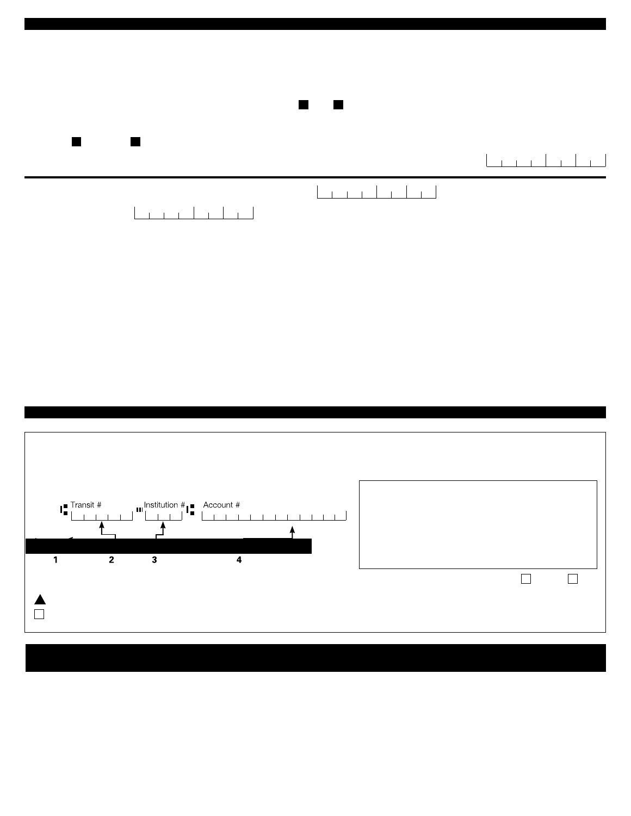| PART 2: MEMBER'S STATEMENT                                                                                                                                                                                                                                                                                                                                                                                                                         |                                                      |
|----------------------------------------------------------------------------------------------------------------------------------------------------------------------------------------------------------------------------------------------------------------------------------------------------------------------------------------------------------------------------------------------------------------------------------------------------|------------------------------------------------------|
| <b>COORDINATION OF BENEFITS</b>                                                                                                                                                                                                                                                                                                                                                                                                                    |                                                      |
| <b>IMPORTANT NOTE:</b><br>If one of your dependents is covered under another plan for medical expense bene t, the expenses incurred by this dependent must rst be submitted to<br>the other insurer. You may subsequently submit a claim for the balance, if applicable, under your plan.<br>The expenses incurred by dependent children must be submitted to the plan of the parent whose birthday comes rst during a calendar year.<br>$\bullet$ |                                                      |
| Are you or your dependents covered by another group plan? $\Box$ No $\Box$ Yes Specify:                                                                                                                                                                                                                                                                                                                                                            |                                                      |
|                                                                                                                                                                                                                                                                                                                                                                                                                                                    |                                                      |
| Coverage: $\Box$ Individual $\Box$ Family                                                                                                                                                                                                                                                                                                                                                                                                          | Y<br>м<br>D<br>Date of birth $\vert$ $\vert$ $\vert$ |
| Y<br>D<br>M<br>Date of birth<br>3. Place accident occurred: example and a series of the series of the series of the series of the series of the series of the series of the series of the series of the series of the series of the series of the series of th                                                                                                                                                                                     |                                                      |
|                                                                                                                                                                                                                                                                                                                                                                                                                                                    |                                                      |

## PART 3: DIRECT DEPOSIT AND NOTIFICATION

| Direct deposit of your health and/or dental claim reimbursements and noti cation of claim processing<br>Complete only when signing up for direct deposit or to update your information.<br>Banking information for direct deposit: |                                                                                                                                                                                                                                                                                  |  |  |  |  |  |  |
|------------------------------------------------------------------------------------------------------------------------------------------------------------------------------------------------------------------------------------|----------------------------------------------------------------------------------------------------------------------------------------------------------------------------------------------------------------------------------------------------------------------------------|--|--|--|--|--|--|
| Account #<br><b>Transit #</b><br>$\mathbf{m}$ Institution $\#$ $\blacksquare$<br>3                                                                                                                                                 | Cheque number (do not write this number).<br>Transit number (5 digits).<br>3.<br>Financial institution number (3 digits).<br>Account number up to 12 digits. The format may vary<br>4.<br>from one nancial institution to another.<br>Indicate all numbers and only the numbers. |  |  |  |  |  |  |
| Email address for notification:                                                                                                                                                                                                    | Personal I                                                                                                                                                                                                                                                                       |  |  |  |  |  |  |
| To receive notifications, you must provide your email address and your banking information.<br>do not want to receive notification                                                                                                 |                                                                                                                                                                                                                                                                                  |  |  |  |  |  |  |

You can view the status and details of your health and/or dental claims via My Client Space (website, at any time. ia.ca/myaccount ), our secure